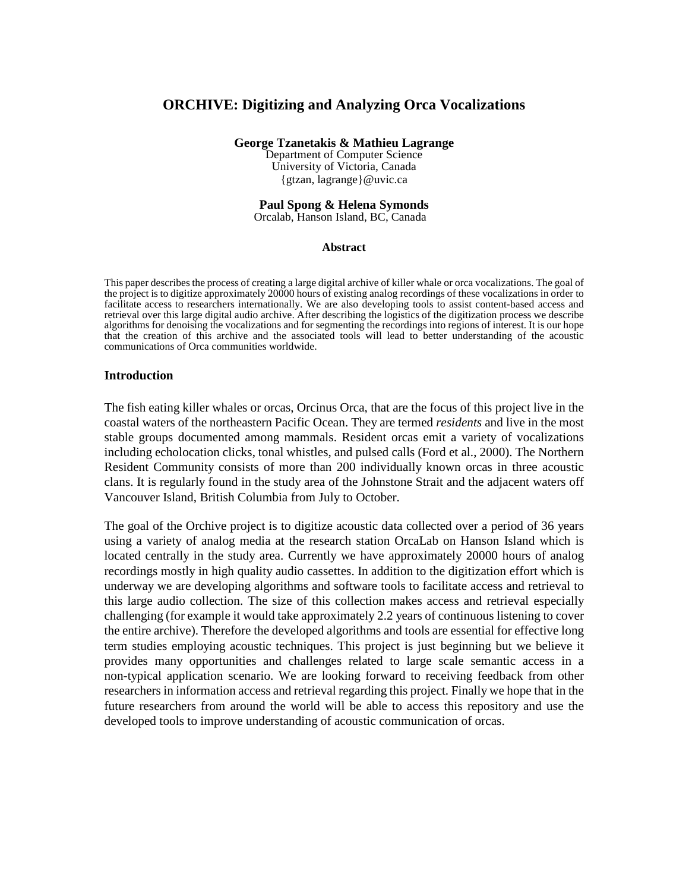# **ORCHIVE: Digitizing and Analyzing Orca Vocalizations**

**George Tzanetakis & Mathieu Lagrange**  Department of Computer Science University of Victoria, Canada {gtzan, lagrange}@uvic.ca

#### **Paul Spong & Helena Symonds**  Orcalab, Hanson Island, BC, Canada

#### **Abstract**

This paper describes the process of creating a large digital archive of killer whale or orca vocalizations. The goal of the project is to digitize approximately 20000 hours of existing analog recordings of these vocalizations in order to facilitate access to researchers internationally. We are also developing tools to assist content-based access and retrieval over this large digital audio archive. After describing the logistics of the digitization process we describe algorithms for denoising the vocalizations and for segmenting the recordings into regions of interest. It is our hope that the creation of this archive and the associated tools will lead to better understanding of the acoustic communications of Orca communities worldwide.

#### **Introduction**

The fish eating killer whales or orcas, Orcinus Orca, that are the focus of this project live in the coastal waters of the northeastern Pacific Ocean. They are termed *residents* and live in the most stable groups documented among mammals. Resident orcas emit a variety of vocalizations including echolocation clicks, tonal whistles, and pulsed calls (Ford et al., 2000). The Northern Resident Community consists of more than 200 individually known orcas in three acoustic clans. It is regularly found in the study area of the Johnstone Strait and the adjacent waters off Vancouver Island, British Columbia from July to October.

The goal of the Orchive project is to digitize acoustic data collected over a period of 36 years using a variety of analog media at the research station OrcaLab on Hanson Island which is located centrally in the study area. Currently we have approximately 20000 hours of analog recordings mostly in high quality audio cassettes. In addition to the digitization effort which is underway we are developing algorithms and software tools to facilitate access and retrieval to this large audio collection. The size of this collection makes access and retrieval especially challenging (for example it would take approximately 2.2 years of continuous listening to cover the entire archive). Therefore the developed algorithms and tools are essential for effective long term studies employing acoustic techniques. This project is just beginning but we believe it provides many opportunities and challenges related to large scale semantic access in a non-typical application scenario. We are looking forward to receiving feedback from other researchers in information access and retrieval regarding this project. Finally we hope that in the future researchers from around the world will be able to access this repository and use the developed tools to improve understanding of acoustic communication of orcas.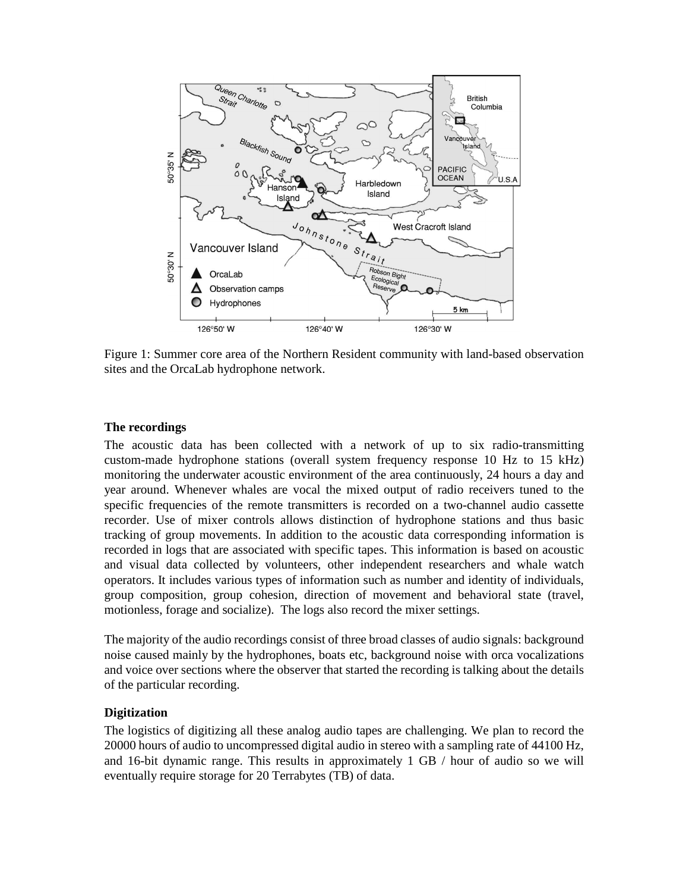

Figure 1: Summer core area of the Northern Resident community with land-based observation sites and the OrcaLab hydrophone network.

## **The recordings**

The acoustic data has been collected with a network of up to six radio-transmitting custom-made hydrophone stations (overall system frequency response 10 Hz to 15 kHz) monitoring the underwater acoustic environment of the area continuously, 24 hours a day and year around. Whenever whales are vocal the mixed output of radio receivers tuned to the specific frequencies of the remote transmitters is recorded on a two-channel audio cassette recorder. Use of mixer controls allows distinction of hydrophone stations and thus basic tracking of group movements. In addition to the acoustic data corresponding information is recorded in logs that are associated with specific tapes. This information is based on acoustic and visual data collected by volunteers, other independent researchers and whale watch operators. It includes various types of information such as number and identity of individuals, group composition, group cohesion, direction of movement and behavioral state (travel, motionless, forage and socialize). The logs also record the mixer settings.

The majority of the audio recordings consist of three broad classes of audio signals: background noise caused mainly by the hydrophones, boats etc, background noise with orca vocalizations and voice over sections where the observer that started the recording is talking about the details of the particular recording.

### **Digitization**

The logistics of digitizing all these analog audio tapes are challenging. We plan to record the 20000 hours of audio to uncompressed digital audio in stereo with a sampling rate of 44100 Hz, and 16-bit dynamic range. This results in approximately 1 GB / hour of audio so we will eventually require storage for 20 Terrabytes (TB) of data.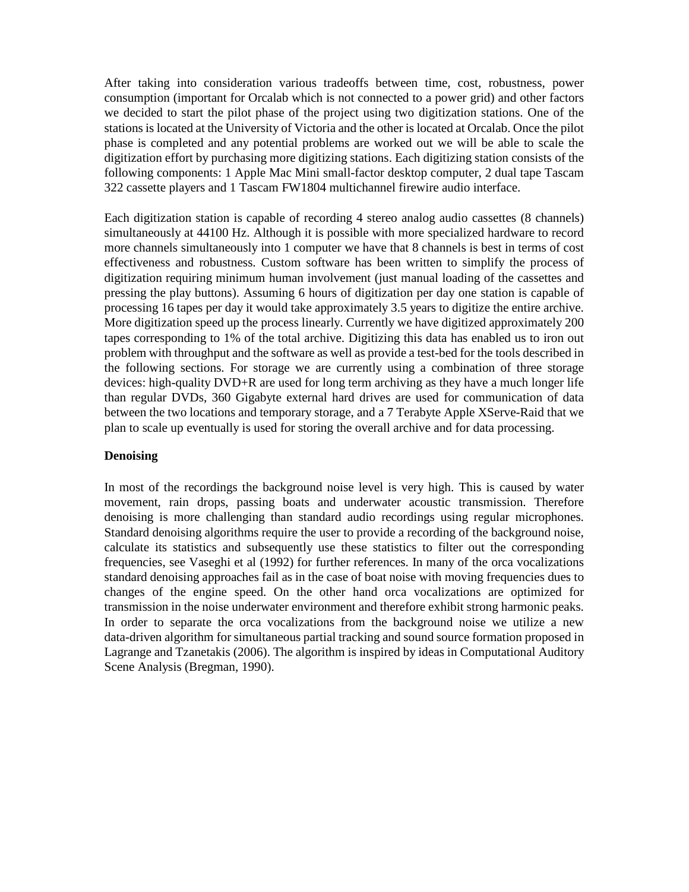After taking into consideration various tradeoffs between time, cost, robustness, power consumption (important for Orcalab which is not connected to a power grid) and other factors we decided to start the pilot phase of the project using two digitization stations. One of the stations is located at the University of Victoria and the other is located at Orcalab. Once the pilot phase is completed and any potential problems are worked out we will be able to scale the digitization effort by purchasing more digitizing stations. Each digitizing station consists of the following components: 1 Apple Mac Mini small-factor desktop computer, 2 dual tape Tascam 322 cassette players and 1 Tascam FW1804 multichannel firewire audio interface.

Each digitization station is capable of recording 4 stereo analog audio cassettes (8 channels) simultaneously at 44100 Hz. Although it is possible with more specialized hardware to record more channels simultaneously into 1 computer we have that 8 channels is best in terms of cost effectiveness and robustness. Custom software has been written to simplify the process of digitization requiring minimum human involvement (just manual loading of the cassettes and pressing the play buttons). Assuming 6 hours of digitization per day one station is capable of processing 16 tapes per day it would take approximately 3.5 years to digitize the entire archive. More digitization speed up the process linearly. Currently we have digitized approximately 200 tapes corresponding to 1% of the total archive. Digitizing this data has enabled us to iron out problem with throughput and the software as well as provide a test-bed for the tools described in the following sections. For storage we are currently using a combination of three storage devices: high-quality DVD+R are used for long term archiving as they have a much longer life than regular DVDs, 360 Gigabyte external hard drives are used for communication of data between the two locations and temporary storage, and a 7 Terabyte Apple XServe-Raid that we plan to scale up eventually is used for storing the overall archive and for data processing.

# **Denoising**

In most of the recordings the background noise level is very high. This is caused by water movement, rain drops, passing boats and underwater acoustic transmission. Therefore denoising is more challenging than standard audio recordings using regular microphones. Standard denoising algorithms require the user to provide a recording of the background noise, calculate its statistics and subsequently use these statistics to filter out the corresponding frequencies, see Vaseghi et al (1992) for further references. In many of the orca vocalizations standard denoising approaches fail as in the case of boat noise with moving frequencies dues to changes of the engine speed. On the other hand orca vocalizations are optimized for transmission in the noise underwater environment and therefore exhibit strong harmonic peaks. In order to separate the orca vocalizations from the background noise we utilize a new data-driven algorithm for simultaneous partial tracking and sound source formation proposed in Lagrange and Tzanetakis (2006). The algorithm is inspired by ideas in Computational Auditory Scene Analysis (Bregman, 1990).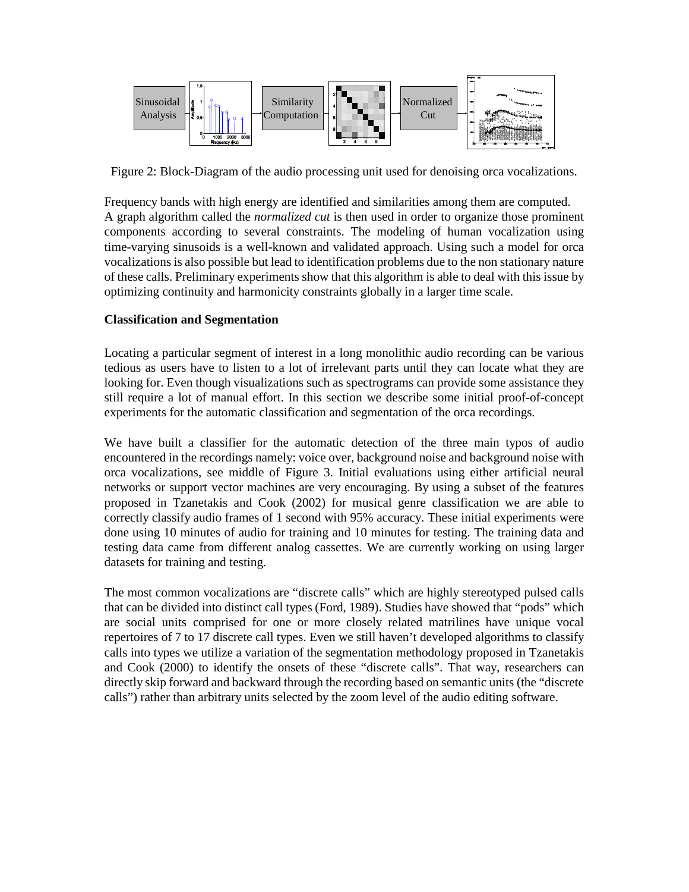

Figure 2: Block-Diagram of the audio processing unit used for denoising orca vocalizations.

Frequency bands with high energy are identified and similarities among them are computed. A graph algorithm called the *normalized cut* is then used in order to organize those prominent components according to several constraints. The modeling of human vocalization using time-varying sinusoids is a well-known and validated approach. Using such a model for orca vocalizations is also possible but lead to identification problems due to the non stationary nature of these calls. Preliminary experiments show that this algorithm is able to deal with this issue by optimizing continuity and harmonicity constraints globally in a larger time scale.

# **Classification and Segmentation**

Locating a particular segment of interest in a long monolithic audio recording can be various tedious as users have to listen to a lot of irrelevant parts until they can locate what they are looking for. Even though visualizations such as spectrograms can provide some assistance they still require a lot of manual effort. In this section we describe some initial proof-of-concept experiments for the automatic classification and segmentation of the orca recordings.

We have built a classifier for the automatic detection of the three main typos of audio encountered in the recordings namely: voice over, background noise and background noise with orca vocalizations, see middle of Figure 3. Initial evaluations using either artificial neural networks or support vector machines are very encouraging. By using a subset of the features proposed in Tzanetakis and Cook (2002) for musical genre classification we are able to correctly classify audio frames of 1 second with 95% accuracy. These initial experiments were done using 10 minutes of audio for training and 10 minutes for testing. The training data and testing data came from different analog cassettes. We are currently working on using larger datasets for training and testing.

The most common vocalizations are "discrete calls" which are highly stereotyped pulsed calls that can be divided into distinct call types (Ford, 1989). Studies have showed that "pods" which are social units comprised for one or more closely related matrilines have unique vocal repertoires of 7 to 17 discrete call types. Even we still haven't developed algorithms to classify calls into types we utilize a variation of the segmentation methodology proposed in Tzanetakis and Cook (2000) to identify the onsets of these "discrete calls". That way, researchers can directly skip forward and backward through the recording based on semantic units (the "discrete calls") rather than arbitrary units selected by the zoom level of the audio editing software.